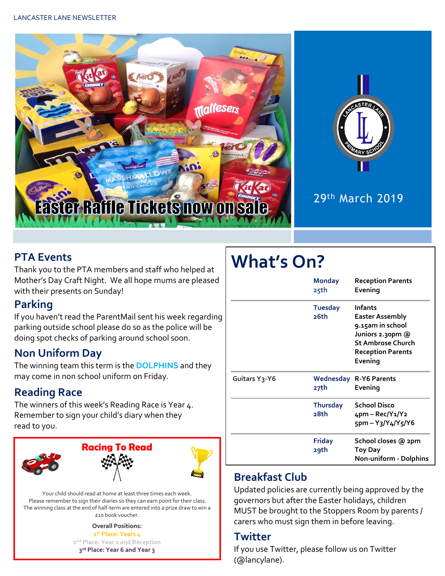

# 29th March 2019

#### **PTA Events**

Thank you to the PTA members and staff who helped at Mother's Day Craft Night. We all hope mums are pleased with their presents on Sunday!

#### **Parking**

If you haven't read the ParentMail sent his week regarding parking outside school please do so as the police will be doing spot checks of parking around school soon.

## **Non Uniform Day**

The winning team this term is the **DOLPHINS** and they may come in non school uniform on Friday.

## **Reading Race**

The winners of this week's Reading Race is Year 4. Remember to sign your child's diary when they read to you.



Your child should read at home at least three times each week. Please remember to sign their diaries so they can earn point for their class. The winning class at the end of half-term are entered into a prize draw to win a £10 book voucher.

> **Overall Positions: st Place: Years 4 nd Place: Year 2 and Reception rd Place: Year 6 and Year 3**

# **What's On?**

|                            | <b>Monday</b><br>25th   | <b>Reception Parents</b><br>Evening                                                                                                          |  |  |
|----------------------------|-------------------------|----------------------------------------------------------------------------------------------------------------------------------------------|--|--|
|                            | <b>Tuesday</b><br>26th  | <b>Infants</b><br>Easter Assembly<br>9.15am in school<br>Juniors 2.30pm @<br><b>St Ambrose Church</b><br><b>Reception Parents</b><br>Evening |  |  |
| Guitars Y <sub>3</sub> -Y6 | 27th                    | <b>Wednesday R-Y6 Parents</b><br>Evening                                                                                                     |  |  |
|                            | <b>Thursday</b><br>28th | <b>School Disco</b><br>4pm – Rec/Y1/Y2<br>$5pm - Y_3/Y_4/Y_5/Y_6$                                                                            |  |  |
|                            | <b>Friday</b><br>29th   | School closes @ 2pm<br>Toy Day<br>Non-uniform - Dolphins                                                                                     |  |  |

## **Breakfast Club**

Updated policies are currently being approved by the governors but after the Easter holidays, children MUST be brought to the Stoppers Room by parents / carers who must sign them in before leaving.

#### **Twitter**

If you use Twitter, please follow us on Twitter (@lancylane).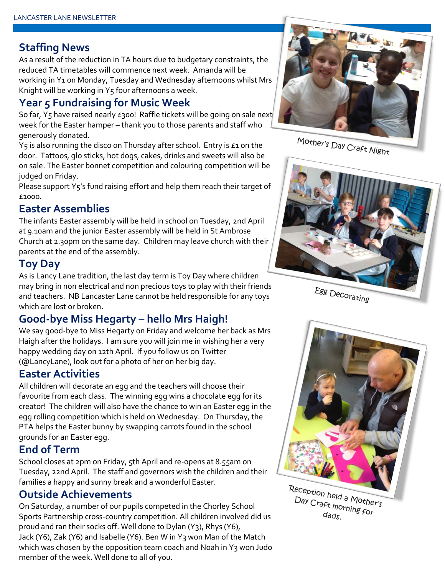#### **Staffing News**

As a result of the reduction in TA hours due to budgetary constraints, the reduced TA timetables will commence next week. Amanda will be working in Y1 on Monday, Tuesday and Wednesday afternoons whilst Mrs Knight will be working in Y5 four afternoons a week.

#### **Year 5 Fundraising for Music Week**

So far, Y5 have raised nearly £300! Raffle tickets will be going on sale next week for the Easter hamper – thank you to those parents and staff who generously donated.

Y<sub>5</sub> is also running the disco on Thursday after school. Entry is £1 on the door. Tattoos, glo sticks, hot dogs, cakes, drinks and sweets will also be on sale. The Easter bonnet competition and colouring competition will be judged on Friday.

Please support Y5's fund raising effort and help them reach their target of £1000.

#### **Easter Assemblies**

The infants Easter assembly will be held in school on Tuesday, 2nd April at 9.10am and the junior Easter assembly will be held in St Ambrose Church at 2.30pm on the same day. Children may leave church with their parents at the end of the assembly.

#### **Toy Day**

As is Lancy Lane tradition, the last day term is Toy Day where children may bring in non electrical and non precious toys to play with their friends and teachers. NB Lancaster Lane cannot be held responsible for any toys which are lost or broken.

#### **Good-bye Miss Hegarty – hello Mrs Haigh!**

We say good-bye to Miss Hegarty on Friday and welcome her back as Mrs Haigh after the holidays. I am sure you will join me in wishing her a very happy wedding day on 12th April. If you follow us on Twitter (@LancyLane), look out for a photo of her on her big day.

#### **Easter Activities**

All children will decorate an egg and the teachers will choose their favourite from each class. The winning egg wins a chocolate egg for its creator! The children will also have the chance to win an Easter egg in the egg rolling competition which is held on Wednesday. On Thursday, the PTA helps the Easter bunny by swapping carrots found in the school grounds for an Easter egg.

#### **End of Term**

School closes at 2pm on Friday, 5th April and re-opens at 8.55am on Tuesday, 22nd April. The staff and governors wish the children and their families a happy and sunny break and a wonderful Easter.

#### **Outside Achievements**

On Saturday, a number of our pupils competed in the Chorley School Sports Partnership cross-country competition. All children involved did us proud and ran their socks off. Well done to Dylan (Y3), Rhys (Y6), Jack (Y6), Zak (Y6) and Isabelle (Y6). Ben W in Y3 won Man of the Match which was chosen by the opposition team coach and Noah in Y3 won Judo member of the week. Well done to all of you.



Mother's Day Craft Night







Day Craft morning for<br>Day Craft morning for<br>dads  $d$ ads.